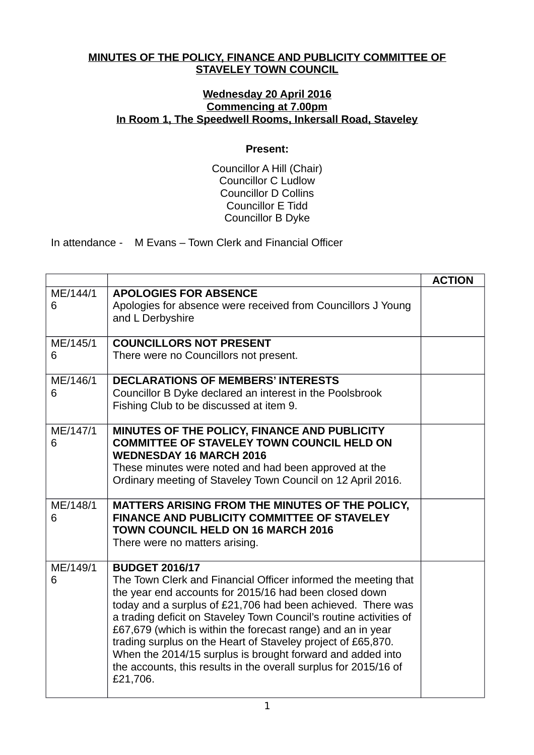## **MINUTES OF THE POLICY, FINANCE AND PUBLICITY COMMITTEE OF STAVELEY TOWN COUNCIL**

## **Wednesday 20 April 2016 Commencing at 7.00pm In Room 1, The Speedwell Rooms, Inkersall Road, Staveley**

## **Present:**

Councillor A Hill (Chair) Councillor C Ludlow Councillor D Collins Councillor E Tidd Councillor B Dyke

In attendance - M Evans – Town Clerk and Financial Officer

|               |                                                                                                                                                                                                                                                                                                                                                                                                                                                                                                                                                                     | <b>ACTION</b> |
|---------------|---------------------------------------------------------------------------------------------------------------------------------------------------------------------------------------------------------------------------------------------------------------------------------------------------------------------------------------------------------------------------------------------------------------------------------------------------------------------------------------------------------------------------------------------------------------------|---------------|
| ME/144/1<br>6 | <b>APOLOGIES FOR ABSENCE</b><br>Apologies for absence were received from Councillors J Young<br>and L Derbyshire                                                                                                                                                                                                                                                                                                                                                                                                                                                    |               |
| ME/145/1<br>6 | <b>COUNCILLORS NOT PRESENT</b><br>There were no Councillors not present.                                                                                                                                                                                                                                                                                                                                                                                                                                                                                            |               |
| ME/146/1<br>6 | <b>DECLARATIONS OF MEMBERS' INTERESTS</b><br>Councillor B Dyke declared an interest in the Poolsbrook<br>Fishing Club to be discussed at item 9.                                                                                                                                                                                                                                                                                                                                                                                                                    |               |
| ME/147/1<br>6 | MINUTES OF THE POLICY, FINANCE AND PUBLICITY<br><b>COMMITTEE OF STAVELEY TOWN COUNCIL HELD ON</b><br><b>WEDNESDAY 16 MARCH 2016</b><br>These minutes were noted and had been approved at the<br>Ordinary meeting of Staveley Town Council on 12 April 2016.                                                                                                                                                                                                                                                                                                         |               |
| ME/148/1<br>6 | MATTERS ARISING FROM THE MINUTES OF THE POLICY,<br>FINANCE AND PUBLICITY COMMITTEE OF STAVELEY<br><b>TOWN COUNCIL HELD ON 16 MARCH 2016</b><br>There were no matters arising.                                                                                                                                                                                                                                                                                                                                                                                       |               |
| ME/149/1<br>6 | <b>BUDGET 2016/17</b><br>The Town Clerk and Financial Officer informed the meeting that<br>the year end accounts for 2015/16 had been closed down<br>today and a surplus of £21,706 had been achieved. There was<br>a trading deficit on Staveley Town Council's routine activities of<br>£67,679 (which is within the forecast range) and an in year<br>trading surplus on the Heart of Staveley project of £65,870.<br>When the 2014/15 surplus is brought forward and added into<br>the accounts, this results in the overall surplus for 2015/16 of<br>£21,706. |               |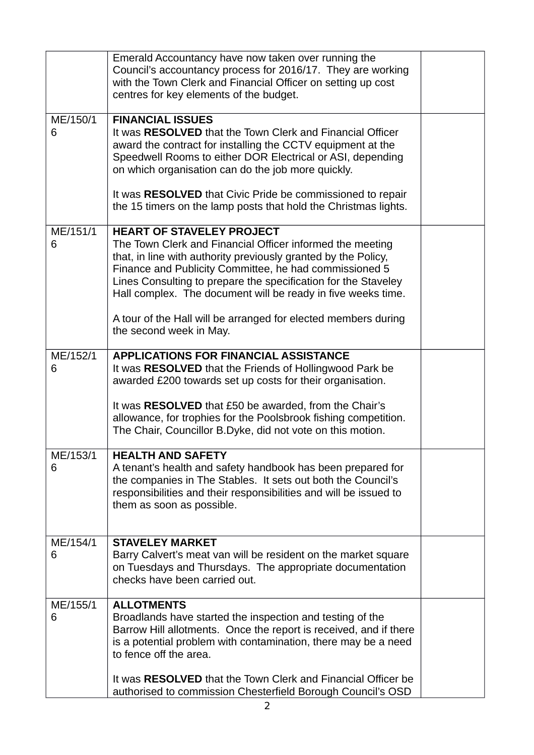|               | Emerald Accountancy have now taken over running the<br>Council's accountancy process for 2016/17. They are working<br>with the Town Clerk and Financial Officer on setting up cost<br>centres for key elements of the budget.                                                                                                                                                                                                                            |  |
|---------------|----------------------------------------------------------------------------------------------------------------------------------------------------------------------------------------------------------------------------------------------------------------------------------------------------------------------------------------------------------------------------------------------------------------------------------------------------------|--|
| ME/150/1<br>6 | <b>FINANCIAL ISSUES</b><br>It was RESOLVED that the Town Clerk and Financial Officer<br>award the contract for installing the CCTV equipment at the<br>Speedwell Rooms to either DOR Electrical or ASI, depending<br>on which organisation can do the job more quickly.<br>It was RESOLVED that Civic Pride be commissioned to repair<br>the 15 timers on the lamp posts that hold the Christmas lights.                                                 |  |
| ME/151/1<br>6 | <b>HEART OF STAVELEY PROJECT</b><br>The Town Clerk and Financial Officer informed the meeting<br>that, in line with authority previously granted by the Policy,<br>Finance and Publicity Committee, he had commissioned 5<br>Lines Consulting to prepare the specification for the Staveley<br>Hall complex. The document will be ready in five weeks time.<br>A tour of the Hall will be arranged for elected members during<br>the second week in May. |  |
| ME/152/1<br>6 | <b>APPLICATIONS FOR FINANCIAL ASSISTANCE</b><br>It was RESOLVED that the Friends of Hollingwood Park be<br>awarded £200 towards set up costs for their organisation.<br>It was <b>RESOLVED</b> that £50 be awarded, from the Chair's<br>allowance, for trophies for the Poolsbrook fishing competition.<br>The Chair, Councillor B.Dyke, did not vote on this motion.                                                                                    |  |
| ME/153/1<br>6 | <b>HEALTH AND SAFETY</b><br>A tenant's health and safety handbook has been prepared for<br>the companies in The Stables. It sets out both the Council's<br>responsibilities and their responsibilities and will be issued to<br>them as soon as possible.                                                                                                                                                                                                |  |
| ME/154/1<br>6 | <b>STAVELEY MARKET</b><br>Barry Calvert's meat van will be resident on the market square<br>on Tuesdays and Thursdays. The appropriate documentation<br>checks have been carried out.                                                                                                                                                                                                                                                                    |  |
| ME/155/1<br>6 | <b>ALLOTMENTS</b><br>Broadlands have started the inspection and testing of the<br>Barrow Hill allotments. Once the report is received, and if there<br>is a potential problem with contamination, there may be a need<br>to fence off the area.                                                                                                                                                                                                          |  |
|               | It was RESOLVED that the Town Clerk and Financial Officer be<br>authorised to commission Chesterfield Borough Council's OSD                                                                                                                                                                                                                                                                                                                              |  |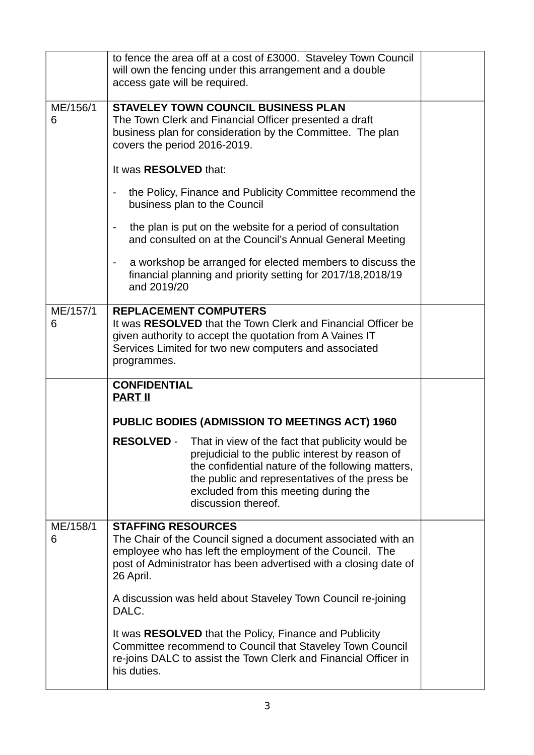|               | to fence the area off at a cost of £3000. Staveley Town Council<br>will own the fencing under this arrangement and a double<br>access gate will be required.                                                                                                                                    |  |
|---------------|-------------------------------------------------------------------------------------------------------------------------------------------------------------------------------------------------------------------------------------------------------------------------------------------------|--|
| ME/156/1<br>6 | <b>STAVELEY TOWN COUNCIL BUSINESS PLAN</b><br>The Town Clerk and Financial Officer presented a draft<br>business plan for consideration by the Committee. The plan<br>covers the period 2016-2019.                                                                                              |  |
|               | It was RESOLVED that:                                                                                                                                                                                                                                                                           |  |
|               | the Policy, Finance and Publicity Committee recommend the<br>$\blacksquare$<br>business plan to the Council                                                                                                                                                                                     |  |
|               | the plan is put on the website for a period of consultation<br>and consulted on at the Council's Annual General Meeting                                                                                                                                                                         |  |
|               | a workshop be arranged for elected members to discuss the<br>$\overline{\phantom{a}}$<br>financial planning and priority setting for 2017/18,2018/19<br>and 2019/20                                                                                                                             |  |
| ME/157/1<br>6 | <b>REPLACEMENT COMPUTERS</b><br>It was RESOLVED that the Town Clerk and Financial Officer be<br>given authority to accept the quotation from A Vaines IT<br>Services Limited for two new computers and associated<br>programmes.                                                                |  |
|               | <b>CONFIDENTIAL</b><br><b>PART II</b>                                                                                                                                                                                                                                                           |  |
|               | PUBLIC BODIES (ADMISSION TO MEETINGS ACT) 1960                                                                                                                                                                                                                                                  |  |
|               | <b>RESOLVED -</b><br>That in view of the fact that publicity would be<br>prejudicial to the public interest by reason of<br>the confidential nature of the following matters,<br>the public and representatives of the press be<br>excluded from this meeting during the<br>discussion thereof. |  |
| ME/158/1<br>6 | <b>STAFFING RESOURCES</b><br>The Chair of the Council signed a document associated with an<br>employee who has left the employment of the Council. The<br>post of Administrator has been advertised with a closing date of<br>26 April.                                                         |  |
|               | A discussion was held about Staveley Town Council re-joining<br>DALC.                                                                                                                                                                                                                           |  |
|               | It was RESOLVED that the Policy, Finance and Publicity<br>Committee recommend to Council that Staveley Town Council<br>re-joins DALC to assist the Town Clerk and Financial Officer in<br>his duties.                                                                                           |  |